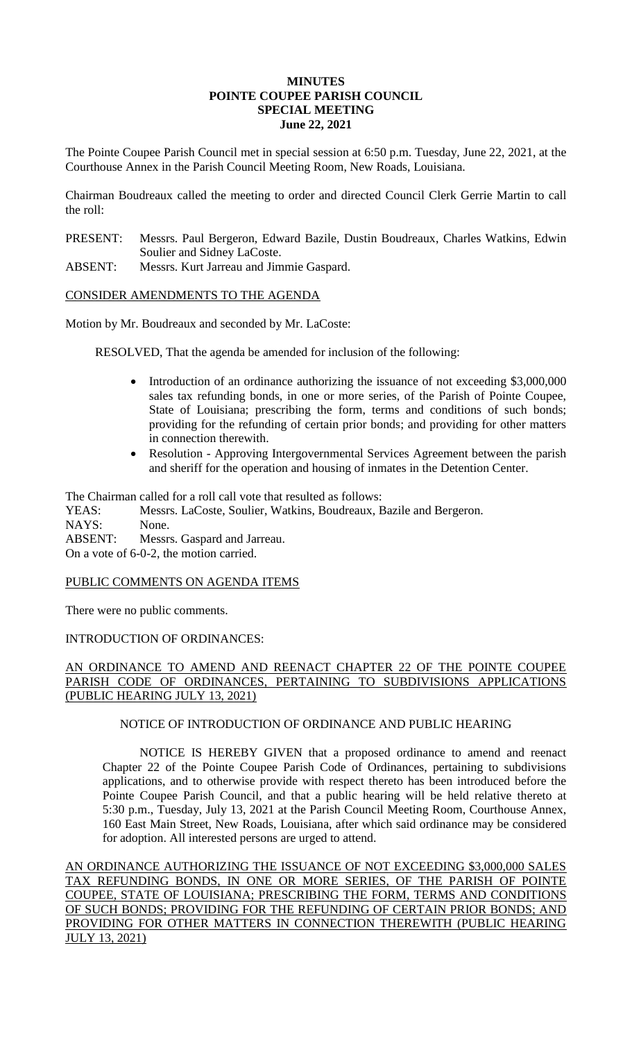## **MINUTES POINTE COUPEE PARISH COUNCIL SPECIAL MEETING June 22, 2021**

The Pointe Coupee Parish Council met in special session at 6:50 p.m. Tuesday, June 22, 2021, at the Courthouse Annex in the Parish Council Meeting Room, New Roads, Louisiana.

Chairman Boudreaux called the meeting to order and directed Council Clerk Gerrie Martin to call the roll:

- PRESENT: Messrs. Paul Bergeron, Edward Bazile, Dustin Boudreaux, Charles Watkins, Edwin Soulier and Sidney LaCoste.
- ABSENT: Messrs. Kurt Jarreau and Jimmie Gaspard.

CONSIDER AMENDMENTS TO THE AGENDA

Motion by Mr. Boudreaux and seconded by Mr. LaCoste:

RESOLVED, That the agenda be amended for inclusion of the following:

- Introduction of an ordinance authorizing the issuance of not exceeding \$3,000,000 sales tax refunding bonds, in one or more series, of the Parish of Pointe Coupee, State of Louisiana; prescribing the form, terms and conditions of such bonds; providing for the refunding of certain prior bonds; and providing for other matters in connection therewith.
- Resolution Approving Intergovernmental Services Agreement between the parish and sheriff for the operation and housing of inmates in the Detention Center.

The Chairman called for a roll call vote that resulted as follows:

YEAS: Messrs. LaCoste, Soulier, Watkins, Boudreaux, Bazile and Bergeron. NAYS: None. ABSENT: Messrs. Gaspard and Jarreau. On a vote of 6-0-2, the motion carried.

## PUBLIC COMMENTS ON AGENDA ITEMS

There were no public comments.

## INTRODUCTION OF ORDINANCES:

# AN ORDINANCE TO AMEND AND REENACT CHAPTER 22 OF THE POINTE COUPEE PARISH CODE OF ORDINANCES, PERTAINING TO SUBDIVISIONS APPLICATIONS (PUBLIC HEARING JULY 13, 2021)

# NOTICE OF INTRODUCTION OF ORDINANCE AND PUBLIC HEARING

NOTICE IS HEREBY GIVEN that a proposed ordinance to amend and reenact Chapter 22 of the Pointe Coupee Parish Code of Ordinances, pertaining to subdivisions applications, and to otherwise provide with respect thereto has been introduced before the Pointe Coupee Parish Council, and that a public hearing will be held relative thereto at 5:30 p.m., Tuesday, July 13, 2021 at the Parish Council Meeting Room, Courthouse Annex, 160 East Main Street, New Roads, Louisiana, after which said ordinance may be considered for adoption. All interested persons are urged to attend.

AN ORDINANCE AUTHORIZING THE ISSUANCE OF NOT EXCEEDING \$3,000,000 SALES TAX REFUNDING BONDS, IN ONE OR MORE SERIES, OF THE PARISH OF POINTE COUPEE, STATE OF LOUISIANA; PRESCRIBING THE FORM, TERMS AND CONDITIONS OF SUCH BONDS; PROVIDING FOR THE REFUNDING OF CERTAIN PRIOR BONDS; AND PROVIDING FOR OTHER MATTERS IN CONNECTION THEREWITH (PUBLIC HEARING JULY 13, 2021)